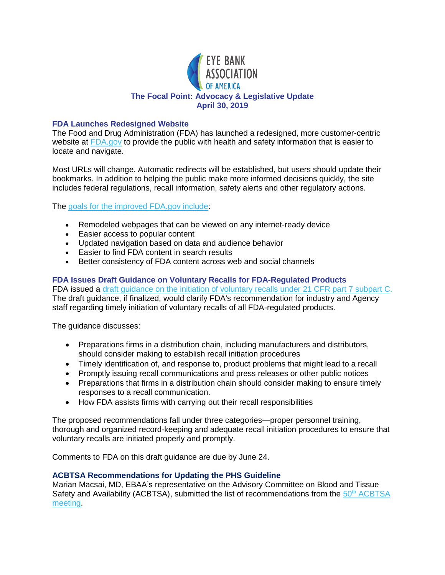

### **FDA Launches Redesigned Website**

The Food and Drug Administration (FDA) has launched a redesigned, more customer-centric website at [FDA.gov](https://www.fda.gov/) to provide the public with health and safety information that is easier to locate and navigate.

Most URLs will change. Automatic redirects will be established, but users should update their bookmarks. In addition to helping the public make more informed decisions quickly, the site includes federal regulations, recall information, safety alerts and other regulatory actions.

The [goals for the improved FDA.gov include:](https://www.fda.gov/about-fda/about-website/fdagov-website-refresh)

- Remodeled webpages that can be viewed on any internet-ready device
- Easier access to popular content
- Updated navigation based on data and audience behavior
- Easier to find FDA content in search results
- Better consistency of FDA content across web and social channels

# **FDA Issues Draft Guidance on Voluntary Recalls for FDA-Regulated Products**

FDA issued a [draft guidance on the initiation of voluntary recalls under 21 CFR part 7 subpart C.](https://www.govinfo.gov/content/pkg/FR-2019-04-24/pdf/2019-08198.pdf) The draft guidance, if finalized, would clarify FDA's recommendation for industry and Agency staff regarding timely initiation of voluntary recalls of all FDA-regulated products.

The guidance discusses:

- Preparations firms in a distribution chain, including manufacturers and distributors, should consider making to establish recall initiation procedures
- Timely identification of, and response to, product problems that might lead to a recall
- Promptly issuing recall communications and press releases or other public notices
- Preparations that firms in a distribution chain should consider making to ensure timely responses to a recall communication.
- How FDA assists firms with carrying out their recall responsibilities

The proposed recommendations fall under three categories—proper personnel training, thorough and organized record-keeping and adequate recall initiation procedures to ensure that voluntary recalls are initiated properly and promptly.

Comments to FDA on this draft guidance are due by June 24.

## **ACBTSA Recommendations for Updating the PHS Guideline**

Marian Macsai, MD, EBAA's representative on the Advisory Committee on Blood and Tissue Safety and Availability (ACBTSA), submitted the list of recommendations from the  $50<sup>th</sup> ACHTSA$ [meeting.](https://www.hhs.gov/ohaidp/initiatives/blood-tissue-safety/advisory-committee/meetings/2019-04-15/index.html)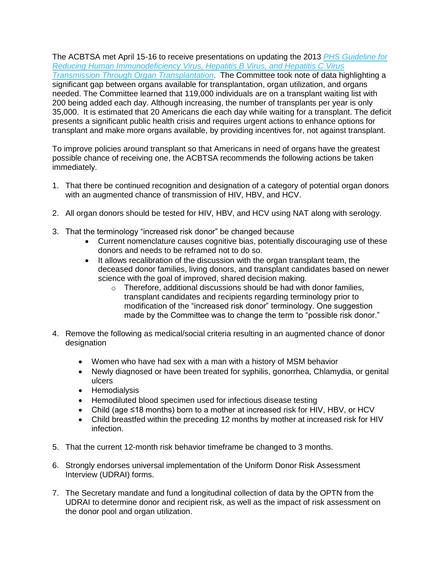The ACBTSA met April 15-16 to receive presentations on updating the 2013 *[PHS Guideline for](https://www.ncbi.nlm.nih.gov/pmc/articles/PMC3675207/)  [Reducing Human Immunodeficiency Virus, Hepatitis B Virus, and Hepatitis C Virus](https://www.ncbi.nlm.nih.gov/pmc/articles/PMC3675207/)  [Transmission Through Organ Transplantation](https://www.ncbi.nlm.nih.gov/pmc/articles/PMC3675207/)*. The Committee took note of data highlighting a significant gap between organs available for transplantation, organ utilization, and organs needed. The Committee learned that 119,000 individuals are on a transplant waiting list with 200 being added each day. Although increasing, the number of transplants per year is only 35,000. It is estimated that 20 Americans die each day while waiting for a transplant. The deficit presents a significant public health crisis and requires urgent actions to enhance options for transplant and make more organs available, by providing incentives for, not against transplant.

To improve policies around transplant so that Americans in need of organs have the greatest possible chance of receiving one, the ACBTSA recommends the following actions be taken immediately.

- 1. That there be continued recognition and designation of a category of potential organ donors with an augmented chance of transmission of HIV, HBV, and HCV.
- 2. All organ donors should be tested for HIV, HBV, and HCV using NAT along with serology.
- 3. That the terminology "increased risk donor" be changed because
	- Current nomenclature causes cognitive bias, potentially discouraging use of these donors and needs to be reframed not to do so.
	- It allows recalibration of the discussion with the organ transplant team, the deceased donor families, living donors, and transplant candidates based on newer science with the goal of improved, shared decision making.
		- o Therefore, additional discussions should be had with donor families, transplant candidates and recipients regarding terminology prior to modification of the "increased risk donor" terminology. One suggestion made by the Committee was to change the term to "possible risk donor."
- 4. Remove the following as medical/social criteria resulting in an augmented chance of donor designation
	- Women who have had sex with a man with a history of MSM behavior
	- Newly diagnosed or have been treated for syphilis, gonorrhea, Chlamydia, or genital ulcers
	- Hemodialysis
	- Hemodiluted blood specimen used for infectious disease testing
	- Child (age ≤18 months) born to a mother at increased risk for HIV, HBV, or HCV
	- Child breastfed within the preceding 12 months by mother at increased risk for HIV infection.
- 5. That the current 12-month risk behavior timeframe be changed to 3 months.
- 6. Strongly endorses universal implementation of the Uniform Donor Risk Assessment Interview (UDRAI) forms.
- 7. The Secretary mandate and fund a longitudinal collection of data by the OPTN from the UDRAI to determine donor and recipient risk, as well as the impact of risk assessment on the donor pool and organ utilization.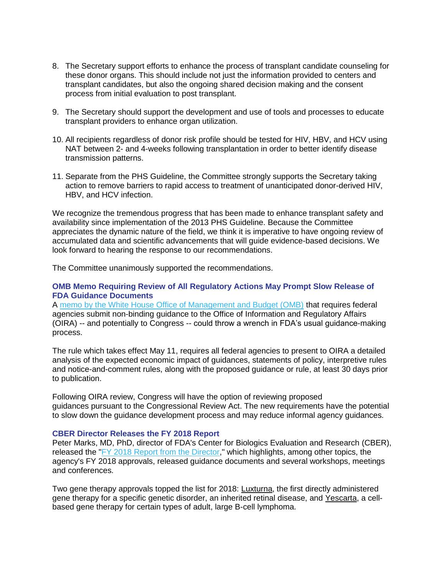- 8. The Secretary support efforts to enhance the process of transplant candidate counseling for these donor organs. This should include not just the information provided to centers and transplant candidates, but also the ongoing shared decision making and the consent process from initial evaluation to post transplant.
- 9. The Secretary should support the development and use of tools and processes to educate transplant providers to enhance organ utilization.
- 10. All recipients regardless of donor risk profile should be tested for HIV, HBV, and HCV using NAT between 2- and 4-weeks following transplantation in order to better identify disease transmission patterns.
- 11. Separate from the PHS Guideline, the Committee strongly supports the Secretary taking action to remove barriers to rapid access to treatment of unanticipated donor-derived HIV, HBV, and HCV infection.

We recognize the tremendous progress that has been made to enhance transplant safety and availability since implementation of the 2013 PHS Guideline. Because the Committee appreciates the dynamic nature of the field, we think it is imperative to have ongoing review of accumulated data and scientific advancements that will guide evidence-based decisions. We look forward to hearing the response to our recommendations.

The Committee unanimously supported the recommendations.

#### **OMB Memo Requiring Review of All Regulatory Actions May Prompt Slow Release of FDA Guidance Documents**

A [memo by the White House Office of Management and Budget \(OMB\)](https://www.whitehouse.gov/wp-content/uploads/2019/04/M-19-14.pdf) that requires federal agencies submit non-binding guidance to the Office of Information and Regulatory Affairs (OIRA) -- and potentially to Congress -- could throw a wrench in FDA's usual guidance-making process.

The rule which takes effect May 11, requires all federal agencies to present to OIRA a detailed analysis of the expected economic impact of guidances, statements of policy, interpretive rules and notice-and-comment rules, along with the proposed guidance or rule, at least 30 days prior to publication.

Following OIRA review, Congress will have the option of reviewing proposed guidances pursuant to the Congressional Review Act. The new requirements have the potential to slow down the guidance development process and may reduce informal agency guidances.

#### **CBER Director Releases the FY 2018 Report**

Peter Marks, MD, PhD, director of FDA's Center for Biologics Evaluation and Research (CBER), released the ["FY 2018 Report from the Director,](https://www.fda.gov/AboutFDA/CentersOffices/OfficeofMedicalProductsandTobacco/CBER/ucm636016.htm)" which highlights, among other topics, the agency's FY 2018 approvals, released guidance documents and several workshops, meetings and conferences.

Two gene therapy approvals topped the list for 2018: [Luxturna,](https://www.fda.gov/BiologicsBloodVaccines/CellularGeneTherapyProducts/ApprovedProducts/ucm589507.htm) the first directly administered gene therapy for a specific genetic disorder, an inherited retinal disease, and [Yescarta,](https://www.fda.gov/BiologicsBloodVaccines/CellularGeneTherapyProducts/ApprovedProducts/ucm581222.htm) a cellbased gene therapy for certain types of adult, large B-cell lymphoma.